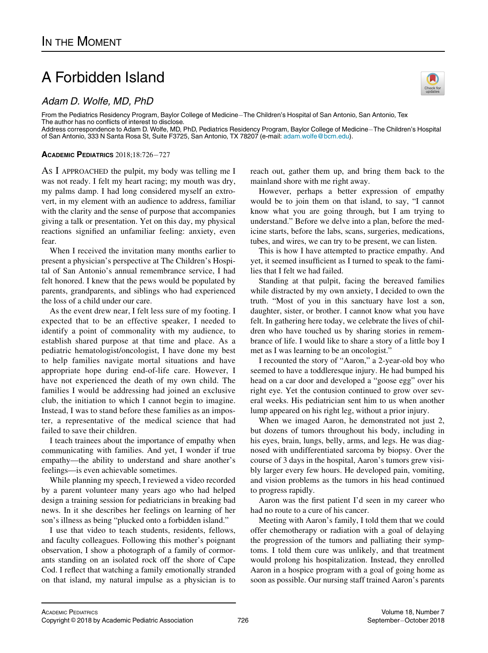## A Forbidden Island

## Adam D. Wolfe, MD, PhD

From the Pediatrics Residency Program, Baylor College of Medicine–The Children's Hospital of San Antonio, San Antonio, Tex The author has no conflicts of interest to disclose. Address correspondence to Adam D. Wolfe, MD, PhD, Pediatrics Residency Program, Baylor College of Medicine-The Children's Hospital

of San Antonio, 333 N Santa Rosa St, Suite F3725, San Antonio, TX 78207 (e-mail: [adam.wolfe@bcm.edu\)](<ce:e-address id=).

ACADEMIC PEDIATRICS 2018;18:726-727

AS I APPROACHED the pulpit, my body was telling me I was not ready. I felt my heart racing; my mouth was dry, my palms damp. I had long considered myself an extrovert, in my element with an audience to address, familiar with the clarity and the sense of purpose that accompanies giving a talk or presentation. Yet on this day, my physical reactions signified an unfamiliar feeling: anxiety, even fear.

When I received the invitation many months earlier to present a physician's perspective at The Children's Hospital of San Antonio's annual remembrance service, I had felt honored. I knew that the pews would be populated by parents, grandparents, and siblings who had experienced the loss of a child under our care.

As the event drew near, I felt less sure of my footing. I expected that to be an effective speaker, I needed to identify a point of commonality with my audience, to establish shared purpose at that time and place. As a pediatric hematologist/oncologist, I have done my best to help families navigate mortal situations and have appropriate hope during end-of-life care. However, I have not experienced the death of my own child. The families I would be addressing had joined an exclusive club, the initiation to which I cannot begin to imagine. Instead, I was to stand before these families as an imposter, a representative of the medical science that had failed to save their children.

I teach trainees about the importance of empathy when communicating with families. And yet, I wonder if true empathy—the ability to understand and share another's feelings—is even achievable sometimes.

While planning my speech, I reviewed a video recorded by a parent volunteer many years ago who had helped design a training session for pediatricians in breaking bad news. In it she describes her feelings on learning of her son's illness as being "plucked onto a forbidden island."

I use that video to teach students, residents, fellows, and faculty colleagues. Following this mother's poignant observation, I show a photograph of a family of cormorants standing on an isolated rock off the shore of Cape Cod. I reflect that watching a family emotionally stranded on that island, my natural impulse as a physician is to reach out, gather them up, and bring them back to the mainland shore with me right away.

However, perhaps a better expression of empathy would be to join them on that island, to say, "I cannot know what you are going through, but I am trying to understand." Before we delve into a plan, before the medicine starts, before the labs, scans, surgeries, medications, tubes, and wires, we can try to be present, we can listen.

This is how I have attempted to practice empathy. And yet, it seemed insufficient as I turned to speak to the families that I felt we had failed.

Standing at that pulpit, facing the bereaved families while distracted by my own anxiety, I decided to own the truth. "Most of you in this sanctuary have lost a son, daughter, sister, or brother. I cannot know what you have felt. In gathering here today, we celebrate the lives of children who have touched us by sharing stories in remembrance of life. I would like to share a story of a little boy I met as I was learning to be an oncologist."

I recounted the story of "Aaron," a 2-year-old boy who seemed to have a toddleresque injury. He had bumped his head on a car door and developed a "goose egg" over his right eye. Yet the contusion continued to grow over several weeks. His pediatrician sent him to us when another lump appeared on his right leg, without a prior injury.

When we imaged Aaron, he demonstrated not just 2, but dozens of tumors throughout his body, including in his eyes, brain, lungs, belly, arms, and legs. He was diagnosed with undifferentiated sarcoma by biopsy. Over the course of 3 days in the hospital, Aaron's tumors grew visibly larger every few hours. He developed pain, vomiting, and vision problems as the tumors in his head continued to progress rapidly.

Aaron was the first patient I'd seen in my career who had no route to a cure of his cancer.

Meeting with Aaron's family, I told them that we could offer chemotherapy or radiation with a goal of delaying the progression of the tumors and palliating their symptoms. I told them cure was unlikely, and that treatment would prolong his hospitalization. Instead, they enrolled Aaron in a hospice program with a goal of going home as soon as possible. Our nursing staff trained Aaron's parents